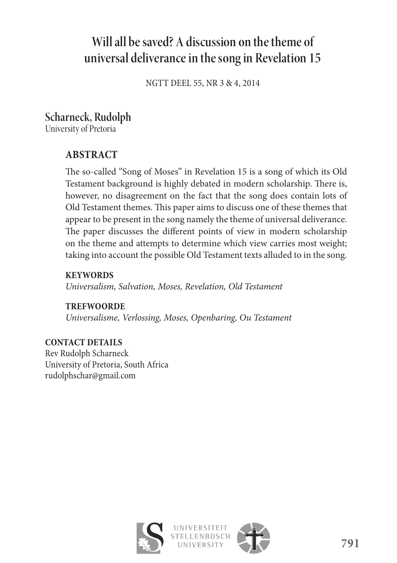# **Will all be saved? A discussion on the theme of universal deliverance in the song in Revelation 15**

NGTT DEEL 55, NR 3 & 4, 2014

# **Scharneck, Rudolph**

University of Pretoria

## **ABSTRACT**

The so-called "Song of Moses" in Revelation 15 is a song of which its Old Testament background is highly debated in modern scholarship. There is, however, no disagreement on the fact that the song does contain lots of Old Testament themes. This paper aims to discuss one of these themes that appear to be present in the song namely the theme of universal deliverance. The paper discusses the different points of view in modern scholarship on the theme and attempts to determine which view carries most weight; taking into account the possible Old Testament texts alluded to in the song.

**KEYWORDS** *Universalism, Salvation, Moses, Revelation, Old Testament*

**TREFWOORDE** *Universalisme, Verlossing, Moses, Openbaring, Ou Testament*

**CONTACT DETAILS** Rev Rudolph Scharneck University of Pretoria, South Africa rudolphschar@gmail.com

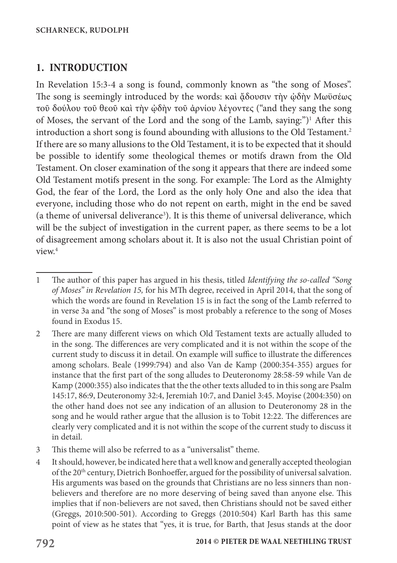### **1. INTRODUCTION**

In Revelation 15:3-4 a song is found, commonly known as "the song of Moses". The song is seemingly introduced by the words: καὶ ἄδουσιν τὴν ὡδὴν Μωϋσέως τοῦ δούλου τοῦ θεοῦ καὶ τὴν ᾠδὴν τοῦ ἀρνίου λέγοντες ("and they sang the song of Moses, the servant of the Lord and the song of the Lamb, saying:")<sup>1</sup> After this introduction a short song is found abounding with allusions to the Old Testament.<sup>2</sup> If there are so many allusions to the Old Testament, it is to be expected that it should be possible to identify some theological themes or motifs drawn from the Old Testament. On closer examination of the song it appears that there are indeed some Old Testament motifs present in the song. For example: The Lord as the Almighty God, the fear of the Lord, the Lord as the only holy One and also the idea that everyone, including those who do not repent on earth, might in the end be saved (a theme of universal deliverance<sup>3</sup>). It is this theme of universal deliverance, which will be the subject of investigation in the current paper, as there seems to be a lot of disagreement among scholars about it. It is also not the usual Christian point of view.<sup>4</sup>

- 3 This theme will also be referred to as a "universalist" theme.
- 4 It should, however, be indicated here that a well know and generally accepted theologian of the 20th century, Dietrich Bonhoeffer, argued for the possibility of universal salvation. His arguments was based on the grounds that Christians are no less sinners than nonbelievers and therefore are no more deserving of being saved than anyone else. This implies that if non-believers are not saved, then Christians should not be saved either (Greggs, 2010:500-501). According to Greggs (2010:504) Karl Barth has this same point of view as he states that "yes, it is true, for Barth, that Jesus stands at the door

<sup>1</sup> The author of this paper has argued in his thesis, titled *Identifying the so-called "Song of Moses" in Revelation 15,* for his MTh degree, received in April 2014, that the song of which the words are found in Revelation 15 is in fact the song of the Lamb referred to in verse 3a and "the song of Moses" is most probably a reference to the song of Moses found in Exodus 15.

<sup>2</sup> There are many different views on which Old Testament texts are actually alluded to in the song. The differences are very complicated and it is not within the scope of the current study to discuss it in detail. On example will suffice to illustrate the differences among scholars. Beale (1999:794) and also Van de Kamp (2000:354-355) argues for instance that the first part of the song alludes to Deuteronomy 28:58-59 while Van de Kamp (2000:355) also indicates that the the other texts alluded to in this song are Psalm 145:17, 86:9, Deuteronomy 32:4, Jeremiah 10:7, and Daniel 3:45. Moyise (2004:350) on the other hand does not see any indication of an allusion to Deuteronomy 28 in the song and he would rather argue that the allusion is to Tobit 12:22. The differences are clearly very complicated and it is not within the scope of the current study to discuss it in detail.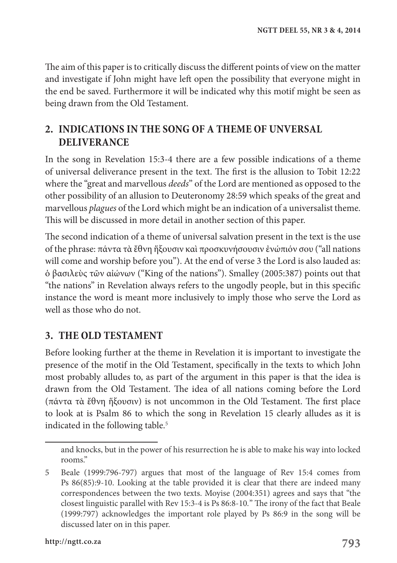The aim of this paper is to critically discuss the different points of view on the matter and investigate if John might have left open the possibility that everyone might in the end be saved. Furthermore it will be indicated why this motif might be seen as being drawn from the Old Testament.

# **2. INDICATIONS IN THE SONG OF A THEME OF UNVERSAL DELIVERANCE**

In the song in Revelation 15:3-4 there are a few possible indications of a theme of universal deliverance present in the text. The first is the allusion to Tobit 12:22 where the "great and marvellous *deeds*" of the Lord are mentioned as opposed to the other possibility of an allusion to Deuteronomy 28:59 which speaks of the great and marvellous *plagues* of the Lord which might be an indication of a universalist theme. This will be discussed in more detail in another section of this paper.

The second indication of a theme of universal salvation present in the text is the use of the phrase: πάντα τὰ ἔθνη ἥξουσιν καὶ προσκυνήσουσιν ἐνώπιόν σου ("all nations will come and worship before you"). At the end of verse 3 the Lord is also lauded as: ὁ βασιλεὺς τῶν αἰώνων ("King of the nations"). Smalley (2005:387) points out that "the nations" in Revelation always refers to the ungodly people, but in this specific instance the word is meant more inclusively to imply those who serve the Lord as well as those who do not.

### **3. THE OLD TESTAMENT**

Before looking further at the theme in Revelation it is important to investigate the presence of the motif in the Old Testament, specifically in the texts to which John most probably alludes to, as part of the argument in this paper is that the idea is drawn from the Old Testament. The idea of all nations coming before the Lord (πάντα τὰ ἔθνη ἥξουσιν) is not uncommon in the Old Testament. The first place to look at is Psalm 86 to which the song in Revelation 15 clearly alludes as it is indicated in the following table.<sup>5</sup>

and knocks, but in the power of his resurrection he is able to make his way into locked rooms."

<sup>5</sup> Beale (1999:796-797) argues that most of the language of Rev 15:4 comes from Ps 86(85):9-10. Looking at the table provided it is clear that there are indeed many correspondences between the two texts. Moyise (2004:351) agrees and says that "the closest linguistic parallel with Rev 15:3-4 is Ps 86:8-10*.*" The irony of the fact that Beale (1999:797) acknowledges the important role played by Ps 86:9 in the song will be discussed later on in this paper.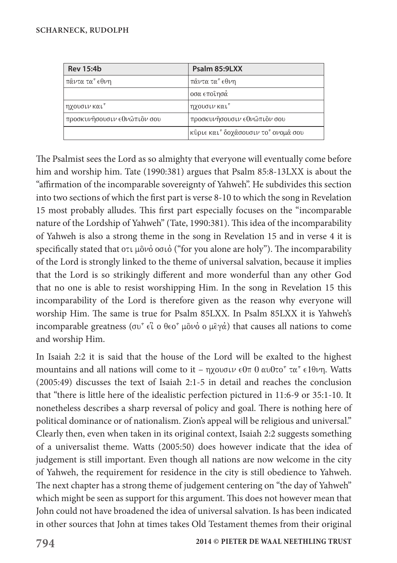| <b>Rev 15:4b</b>            | Psalm 85:9LXX                     |
|-----------------------------|-----------------------------------|
| πᾶντα τα° εθνη              | πᾶντα τα® εθνη                    |
|                             | οσα εποίησά                       |
| ηχουσιν και <sup>*</sup>    | ηχουσιν και <sup>ε</sup>          |
| προσκυνήσουσιν εθνώπιον σου | προσκυνῆσουσιν εθνῶπιὃν σου       |
|                             | κῦριε και δοχᾶσουσιν το ονομᾶ σου |

The Psalmist sees the Lord as so almighty that everyone will eventually come before him and worship him. Tate (1990:381) argues that Psalm 85:8-13LXX is about the "affirmation of the incomparable sovereignty of Yahweh". He subdivides this section into two sections of which the first part is verse 8-10 to which the song in Revelation 15 most probably alludes. This first part especially focuses on the "incomparable nature of the Lordship of Yahweh" (Tate, 1990:381). This idea of the incomparability of Yahweh is also a strong theme in the song in Revelation 15 and in verse 4 it is specifically stated that  $\sigma\tau\mu\tilde{\sigma}\nu\dot{\sigma}$  or  $\tilde{\sigma}$  ("for you alone are holy"). The incomparability of the Lord is strongly linked to the theme of universal salvation, because it implies that the Lord is so strikingly different and more wonderful than any other God that no one is able to resist worshipping Him. In the song in Revelation 15 this incomparability of the Lord is therefore given as the reason why everyone will worship Him. The same is true for Psalm 85LXX. In Psalm 85LXX it is Yahweh's incomparable greatness ( $\sigma v^{\epsilon} \in \hat{C}$  o  $\theta \in \sigma^{\epsilon}$  μο $\nu \circ \phi$ ) that causes all nations to come and worship Him.

In Isaiah 2:2 it is said that the house of the Lord will be exalted to the highest mountains and all nations will come to it –  $\eta\chi$  over  $\theta$   $\eta$   $\omega$   $\theta$   $\tau$  $\alpha$   $\epsilon$  e1 $\theta\gamma$ . Watts (2005:49) discusses the text of Isaiah 2:1-5 in detail and reaches the conclusion that "there is little here of the idealistic perfection pictured in 11:6-9 or 35:1-10. It nonetheless describes a sharp reversal of policy and goal. There is nothing here of political dominance or of nationalism. Zion's appeal will be religious and universal." Clearly then, even when taken in its original context, Isaiah 2:2 suggests something of a universalist theme. Watts (2005:50) does however indicate that the idea of judgement is still important. Even though all nations are now welcome in the city of Yahweh, the requirement for residence in the city is still obedience to Yahweh. The next chapter has a strong theme of judgement centering on "the day of Yahweh" which might be seen as support for this argument. This does not however mean that John could not have broadened the idea of universal salvation. Is has been indicated in other sources that John at times takes Old Testament themes from their original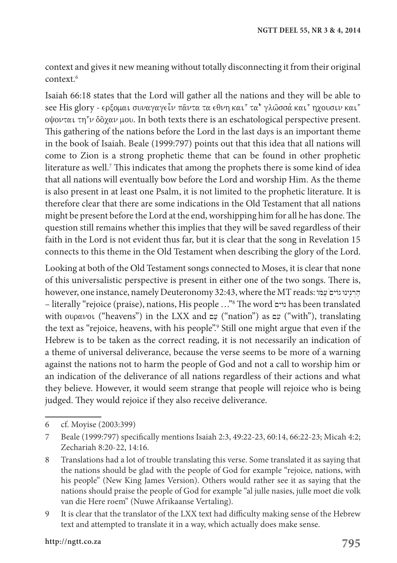context and gives it new meaning without totally disconnecting it from their original context.6

Isaiah 66:18 states that the Lord will gather all the nations and they will be able to see His glory - ερξομαι συναγαγείν παντα τα εθνη και<sup>ε</sup> τα<sup>ε</sup> γλώσσά και ηχουσιν και ε oψονται τη<sup>ε</sup>ν δôχαν μου. In both texts there is an eschatological perspective present. This gathering of the nations before the Lord in the last days is an important theme in the book of Isaiah. Beale (1999:797) points out that this idea that all nations will come to Zion is a strong prophetic theme that can be found in other prophetic literature as well. $^7$  This indicates that among the prophets there is some kind of idea that all nations will eventually bow before the Lord and worship Him. As the theme is also present in at least one Psalm, it is not limited to the prophetic literature. It is therefore clear that there are some indications in the Old Testament that all nations might be present before the Lord at the end, worshipping him for all he has done. The question still remains whether this implies that they will be saved regardless of their faith in the Lord is not evident thus far, but it is clear that the song in Revelation 15 connects to this theme in the Old Testament when describing the glory of the Lord.

Looking at both of the Old Testament songs connected to Moses, it is clear that none of this universalistic perspective is present in either one of the two songs. There is, however, one instance, namely Deuteronomy 32:43, where the MT reads: הַרְנִינוּ גוֹיָם שָׁמֹּוֹ – literally "rejoice (praise), nations, His people ..."<sup>8</sup> The word יוים has been translated with oupavoi ("heavens") in the LXX and עָם ("nation") as  $\psi$  ("with"), translating the text as "rejoice, heavens, with his people".9 Still one might argue that even if the Hebrew is to be taken as the correct reading, it is not necessarily an indication of a theme of universal deliverance, because the verse seems to be more of a warning against the nations not to harm the people of God and not a call to worship him or an indication of the deliverance of all nations regardless of their actions and what they believe. However, it would seem strange that people will rejoice who is being judged. They would rejoice if they also receive deliverance.

<sup>6</sup> cf. Moyise (2003:399)

<sup>7</sup> Beale (1999:797) specifically mentions Isaiah 2:3, 49:22-23, 60:14, 66:22-23; Micah 4:2; Zechariah 8:20-22, 14:16.

<sup>8</sup> Translations had a lot of trouble translating this verse. Some translated it as saying that the nations should be glad with the people of God for example "rejoice, nations, with his people" (New King James Version). Others would rather see it as saying that the nations should praise the people of God for example "al julle nasies, julle moet die volk van die Here roem" (Nuwe Afrikaanse Vertaling).

<sup>9</sup> It is clear that the translator of the LXX text had difficulty making sense of the Hebrew text and attempted to translate it in a way, which actually does make sense.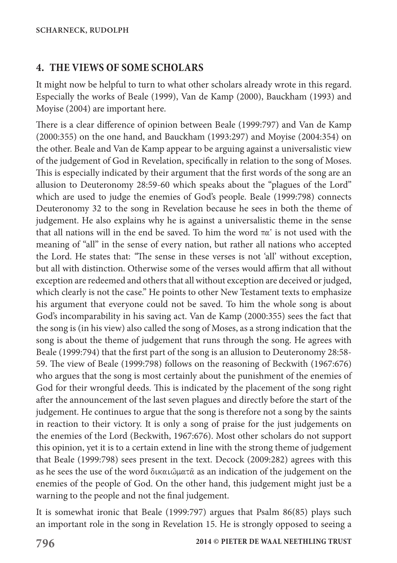### **4. THE VIEWS OF SOME SCHOLARS**

It might now be helpful to turn to what other scholars already wrote in this regard. Especially the works of Beale (1999), Van de Kamp (2000), Bauckham (1993) and Moyise (2004) are important here.

There is a clear difference of opinion between Beale (1999:797) and Van de Kamp (2000:355) on the one hand, and Bauckham (1993:297) and Moyise (2004:354) on the other. Beale and Van de Kamp appear to be arguing against a universalistic view of the judgement of God in Revelation, specifically in relation to the song of Moses. This is especially indicated by their argument that the first words of the song are an allusion to Deuteronomy 28:59-60 which speaks about the "plagues of the Lord" which are used to judge the enemies of God's people. Beale (1999:798) connects Deuteronomy 32 to the song in Revelation because he sees in both the theme of judgement. He also explains why he is against a universalistic theme in the sense that all nations will in the end be saved. To him the word  $\pi\alpha^*$  is not used with the meaning of "all" in the sense of every nation, but rather all nations who accepted the Lord. He states that: *"*The sense in these verses is not 'all' without exception, but all with distinction. Otherwise some of the verses would affirm that all without exception are redeemed and others that all without exception are deceived or judged, which clearly is not the case." He points to other New Testament texts to emphasize his argument that everyone could not be saved. To him the whole song is about God's incomparability in his saving act. Van de Kamp (2000:355) sees the fact that the song is (in his view) also called the song of Moses, as a strong indication that the song is about the theme of judgement that runs through the song. He agrees with Beale (1999:794) that the first part of the song is an allusion to Deuteronomy 28:58- 59. The view of Beale (1999:798) follows on the reasoning of Beckwith (1967:676) who argues that the song is most certainly about the punishment of the enemies of God for their wrongful deeds. This is indicated by the placement of the song right after the announcement of the last seven plagues and directly before the start of the judgement. He continues to argue that the song is therefore not a song by the saints in reaction to their victory. It is only a song of praise for the just judgements on the enemies of the Lord (Beckwith, 1967:676). Most other scholars do not support this opinion, yet it is to a certain extend in line with the strong theme of judgement that Beale (1999:798) sees present in the text. Decock (2009:282) agrees with this as he sees the use of the word  $\delta$ ικαι $\delta \mu$ ατα as an indication of the judgement on the enemies of the people of God. On the other hand, this judgement might just be a warning to the people and not the final judgement.

It is somewhat ironic that Beale (1999:797) argues that Psalm 86(85) plays such an important role in the song in Revelation 15. He is strongly opposed to seeing a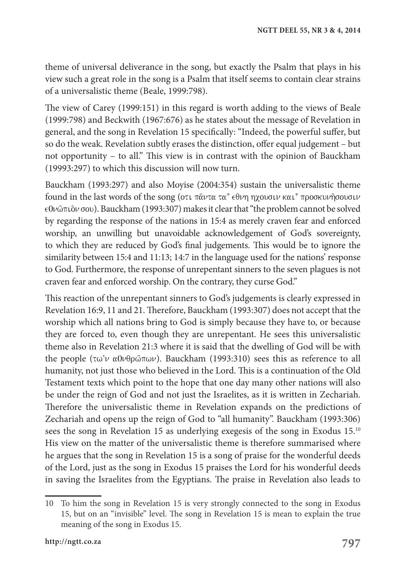theme of universal deliverance in the song, but exactly the Psalm that plays in his view such a great role in the song is a Psalm that itself seems to contain clear strains of a universalistic theme (Beale, 1999:798).

The view of Carey (1999:151) in this regard is worth adding to the views of Beale (1999:798) and Beckwith (1967:676) as he states about the message of Revelation in general, and the song in Revelation 15 specifically: "Indeed, the powerful suffer, but so do the weak. Revelation subtly erases the distinction, offer equal judgement – but not opportunity – to all." This view is in contrast with the opinion of Bauckham (19993:297) to which this discussion will now turn.

Bauckham (1993:297) and also Moyise (2004:354) sustain the universalistic theme found in the last words of the song (oti  $\pi\hat{\alpha} \nu \tau \alpha$   $\tau \alpha^{\epsilon}$   $\epsilon \theta \nu \eta$  ηχουσιν και  $\epsilon$  προσκυνήσουσιν  $\epsilon$ 0 $\nu$   $\hat{\omega}$  πιδ $\nu$  σου). Bauckham (1993:307) makes it clear that "the problem cannot be solved by regarding the response of the nations in 15:4 as merely craven fear and enforced worship, an unwilling but unavoidable acknowledgement of God's sovereignty, to which they are reduced by God's final judgements. This would be to ignore the similarity between 15:4 and 11:13; 14:7 in the language used for the nations' response to God. Furthermore, the response of unrepentant sinners to the seven plagues is not craven fear and enforced worship. On the contrary, they curse God."

This reaction of the unrepentant sinners to God's judgements is clearly expressed in Revelation 16:9, 11 and 21. Therefore, Bauckham (1993:307) does not accept that the worship which all nations bring to God is simply because they have to, or because they are forced to, even though they are unrepentant. He sees this universalistic theme also in Revelation 21:3 where it is said that the dwelling of God will be with the people ( $\tau \omega \nu \alpha 0 \nu \theta \rho \omega \pi \omega \nu$ ). Bauckham (1993:310) sees this as reference to all humanity, not just those who believed in the Lord. This is a continuation of the Old Testament texts which point to the hope that one day many other nations will also be under the reign of God and not just the Israelites, as it is written in Zechariah. Therefore the universalistic theme in Revelation expands on the predictions of Zechariah and opens up the reign of God to "all humanity". Bauckham (1993:306) sees the song in Revelation 15 as underlying exegesis of the song in Exodus 15.<sup>10</sup> His view on the matter of the universalistic theme is therefore summarised where he argues that the song in Revelation 15 is a song of praise for the wonderful deeds of the Lord, just as the song in Exodus 15 praises the Lord for his wonderful deeds in saving the Israelites from the Egyptians. The praise in Revelation also leads to

<sup>10</sup> To him the song in Revelation 15 is very strongly connected to the song in Exodus 15, but on an "invisible" level. The song in Revelation 15 is mean to explain the true meaning of the song in Exodus 15.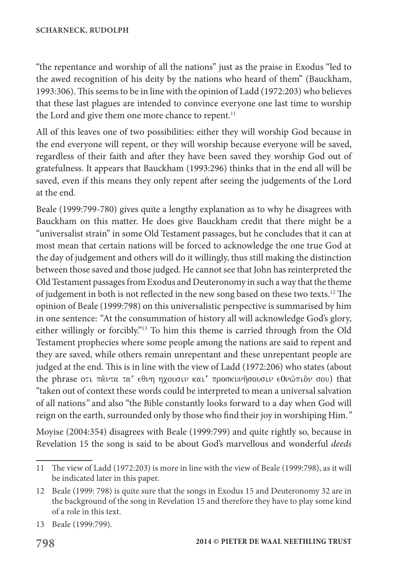"the repentance and worship of all the nations" just as the praise in Exodus "led to the awed recognition of his deity by the nations who heard of them" (Bauckham, 1993:306). This seems to be in line with the opinion of Ladd (1972:203) who believes that these last plagues are intended to convince everyone one last time to worship the Lord and give them one more chance to repent.<sup>11</sup>

All of this leaves one of two possibilities: either they will worship God because in the end everyone will repent, or they will worship because everyone will be saved, regardless of their faith and after they have been saved they worship God out of gratefulness. It appears that Bauckham (1993:296) thinks that in the end all will be saved, even if this means they only repent after seeing the judgements of the Lord at the end.

Beale (1999:799-780) gives quite a lengthy explanation as to why he disagrees with Bauckham on this matter. He does give Bauckham credit that there might be a "universalist strain" in some Old Testament passages, but he concludes that it can at most mean that certain nations will be forced to acknowledge the one true God at the day of judgement and others will do it willingly, thus still making the distinction between those saved and those judged. He cannot see that John has reinterpreted the Old Testament passages from Exodus and Deuteronomy in such a way that the theme of judgement in both is not reflected in the new song based on these two texts.12 The opinion of Beale (1999:798) on this universalistic perspective is summarised by him in one sentence: *"*At the consummation of history all will acknowledge God's glory, either willingly or forcibly."13 To him this theme is carried through from the Old Testament prophecies where some people among the nations are said to repent and they are saved, while others remain unrepentant and these unrepentant people are judged at the end. This is in line with the view of Ladd (1972:206) who states (about the phrase οτι πάντα τα<sup> $\epsilon$ </sup> εθνη ηχουσιν και<sup> $\epsilon$ </sup> προσκυνήσουσιν ε0νώπιον σου) that "taken out of context these words could be interpreted to mean a universal salvation of all nations*"* and also "the Bible constantly looks forward to a day when God will reign on the earth, surrounded only by those who find their joy in worshiping Him.*"*

Moyise (2004:354) disagrees with Beale (1999:799) and quite rightly so, because in Revelation 15 the song is said to be about God's marvellous and wonderful *deeds*

<sup>11</sup> The view of Ladd (1972:203) is more in line with the view of Beale (1999:798), as it will be indicated later in this paper.

<sup>12</sup> Beale (1999: 798) is quite sure that the songs in Exodus 15 and Deuteronomy 32 are in the background of the song in Revelation 15 and therefore they have to play some kind of a role in this text.

<sup>13</sup> Beale (1999:799).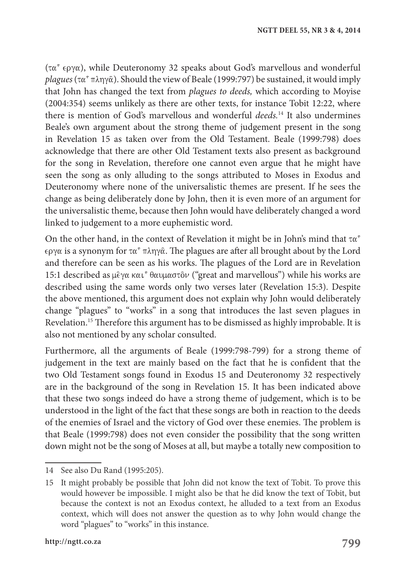$(\tau \alpha^{\epsilon} \epsilon \rho \gamma \alpha)$ , while Deuteronomy 32 speaks about God's marvellous and wonderful  $plaques (tau^ \text{m} \eta \gamma \hat{\alpha})$ . Should the view of Beale (1999:797) be sustained, it would imply that John has changed the text from *plagues to deeds,* which according to Moyise (2004:354) seems unlikely as there are other texts, for instance Tobit 12:22, where there is mention of God's marvellous and wonderful *deeds.*14 It also undermines Beale's own argument about the strong theme of judgement present in the song in Revelation 15 as taken over from the Old Testament. Beale (1999:798) does acknowledge that there are other Old Testament texts also present as background for the song in Revelation, therefore one cannot even argue that he might have seen the song as only alluding to the songs attributed to Moses in Exodus and Deuteronomy where none of the universalistic themes are present. If he sees the change as being deliberately done by John, then it is even more of an argument for the universalistic theme, because then John would have deliberately changed a word linked to judgement to a more euphemistic word.

On the other hand, in the context of Revelation it might be in John's mind that  $\tau \alpha^{\epsilon}$  $\epsilon \rho y \alpha$  is a synonym for  $\tau \alpha^{\gamma} \pi \lambda \eta y \hat{\alpha}$ . The plagues are after all brought about by the Lord and therefore can be seen as his works. The plagues of the Lord are in Revelation 15:1 described as μέγα και<sup> $\epsilon$ </sup>θαυμαστôν ("great and marvellous") while his works are described using the same words only two verses later (Revelation 15:3). Despite the above mentioned, this argument does not explain why John would deliberately change "plagues" to "works" in a song that introduces the last seven plagues in Revelation.15 Therefore this argument has to be dismissed as highly improbable. It is also not mentioned by any scholar consulted.

Furthermore, all the arguments of Beale (1999:798-799) for a strong theme of judgement in the text are mainly based on the fact that he is confident that the two Old Testament songs found in Exodus 15 and Deuteronomy 32 respectively are in the background of the song in Revelation 15. It has been indicated above that these two songs indeed do have a strong theme of judgement, which is to be understood in the light of the fact that these songs are both in reaction to the deeds of the enemies of Israel and the victory of God over these enemies. The problem is that Beale (1999:798) does not even consider the possibility that the song written down might not be the song of Moses at all, but maybe a totally new composition to

<sup>14</sup> See also Du Rand (1995:205).

<sup>15</sup> It might probably be possible that John did not know the text of Tobit. To prove this would however be impossible. I might also be that he did know the text of Tobit, but because the context is not an Exodus context, he alluded to a text from an Exodus context, which will does not answer the question as to why John would change the word "plagues" to "works" in this instance.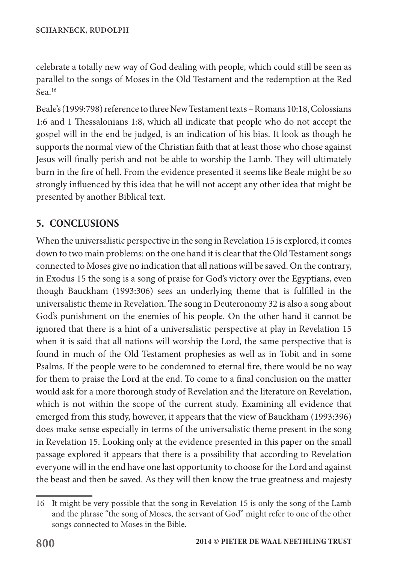celebrate a totally new way of God dealing with people, which could still be seen as parallel to the songs of Moses in the Old Testament and the redemption at the Red Sea.<sup>16</sup>

Beale's (1999:798) reference to three New Testament texts – Romans 10:18, Colossians 1:6 and 1 Thessalonians 1:8, which all indicate that people who do not accept the gospel will in the end be judged, is an indication of his bias. It look as though he supports the normal view of the Christian faith that at least those who chose against Jesus will finally perish and not be able to worship the Lamb. They will ultimately burn in the fire of hell. From the evidence presented it seems like Beale might be so strongly influenced by this idea that he will not accept any other idea that might be presented by another Biblical text.

# **5. CONCLUSIONS**

When the universalistic perspective in the song in Revelation 15 is explored, it comes down to two main problems: on the one hand it is clear that the Old Testament songs connected to Moses give no indication that all nations will be saved. On the contrary, in Exodus 15 the song is a song of praise for God's victory over the Egyptians, even though Bauckham (1993:306) sees an underlying theme that is fulfilled in the universalistic theme in Revelation. The song in Deuteronomy 32 is also a song about God's punishment on the enemies of his people. On the other hand it cannot be ignored that there is a hint of a universalistic perspective at play in Revelation 15 when it is said that all nations will worship the Lord, the same perspective that is found in much of the Old Testament prophesies as well as in Tobit and in some Psalms. If the people were to be condemned to eternal fire, there would be no way for them to praise the Lord at the end. To come to a final conclusion on the matter would ask for a more thorough study of Revelation and the literature on Revelation, which is not within the scope of the current study. Examining all evidence that emerged from this study, however, it appears that the view of Bauckham (1993:396) does make sense especially in terms of the universalistic theme present in the song in Revelation 15. Looking only at the evidence presented in this paper on the small passage explored it appears that there is a possibility that according to Revelation everyone will in the end have one last opportunity to choose for the Lord and against the beast and then be saved. As they will then know the true greatness and majesty

<sup>16</sup> It might be very possible that the song in Revelation 15 is only the song of the Lamb and the phrase "the song of Moses, the servant of God" might refer to one of the other songs connected to Moses in the Bible.